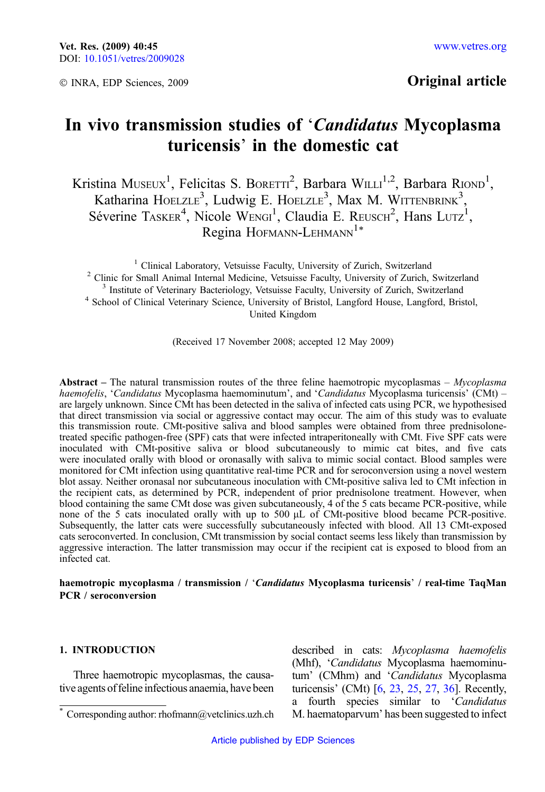© INRA, EDP Sciences, 2009

# Original article

# In vivo transmission studies of 'Candidatus Mycoplasma turicensis' in the domestic cat

Kristina Museux<sup>1</sup>, Felicitas S. Boretti<sup>2</sup>, Barbara Willi<sup>1,2</sup>, Barbara Riond<sup>1</sup>, Katharina HOELZLE<sup>3</sup>, Ludwig E. HOELZLE<sup>3</sup>, Max M. WITTENBRINK<sup>3</sup>, Séverine TASKER<sup>4</sup>, Nicole WENGI<sup>1</sup>, Claudia E. REUSCH<sup>2</sup>, Hans LUTZ<sup>1</sup>, Regina HOFMANN-LEHMANN<sup>1\*</sup>

<sup>1</sup> Clinical Laboratory, Vetsuisse Faculty, University of Zurich, Switzerland<br><sup>2</sup> Clinic for Small Animal Internal Medicine, Vetsuisse Faculty, University of Zurich, Switzerland<br><sup>3</sup> Institute of Veterinary Bacteriology, V United Kingdom

(Received 17 November 2008; accepted 12 May 2009)

Abstract – The natural transmission routes of the three feline haemotropic mycoplasmas –  $Mv<sub>coplasma</sub>$ haemofelis, 'Candidatus Mycoplasma haemominutum', and 'Candidatus Mycoplasma turicensis' (CMt) – are largely unknown. Since CMt has been detected in the saliva of infected cats using PCR, we hypothesised that direct transmission via social or aggressive contact may occur. The aim of this study was to evaluate this transmission route. CMt-positive saliva and blood samples were obtained from three prednisolonetreated specific pathogen-free (SPF) cats that were infected intraperitoneally with CMt. Five SPF cats were inoculated with CMt-positive saliva or blood subcutaneously to mimic cat bites, and five cats were inoculated orally with blood or oronasally with saliva to mimic social contact. Blood samples were monitored for CMt infection using quantitative real-time PCR and for seroconversion using a novel western blot assay. Neither oronasal nor subcutaneous inoculation with CMt-positive saliva led to CMt infection in the recipient cats, as determined by PCR, independent of prior prednisolone treatment. However, when blood containing the same CMt dose was given subcutaneously, 4 of the 5 cats became PCR-positive, while none of the 5 cats inoculated orally with up to 500  $\mu$ L of CMt-positive blood became PCR-positive. Subsequently, the latter cats were successfully subcutaneously infected with blood. All 13 CMt-exposed cats seroconverted. In conclusion, CMt transmission by social contact seems less likely than transmission by aggressive interaction. The latter transmission may occur if the recipient cat is exposed to blood from an infected cat.

# haemotropic mycoplasma / transmission / 'Candidatus Mycoplasma turicensis' / real-time TaqMan PCR / seroconversion

# 1. INTRODUCTION

Three haemotropic mycoplasmas, the causative agents of feline infectious anaemia, have been

described in cats: Mycoplasma haemofelis (Mhf), 'Candidatus Mycoplasma haemominutum' (CMhm) and 'Candidatus Mycoplasma turicensis' (CMt) [\[6,](#page-12-0) [23](#page-12-0), [25,](#page-12-0) [27](#page-13-0), [36](#page-13-0)]. Recently, a fourth species similar to 'Candidatus Corresponding author: rhofmann@vetclinics.uzh.ch M. haematoparvum' has been suggested to infect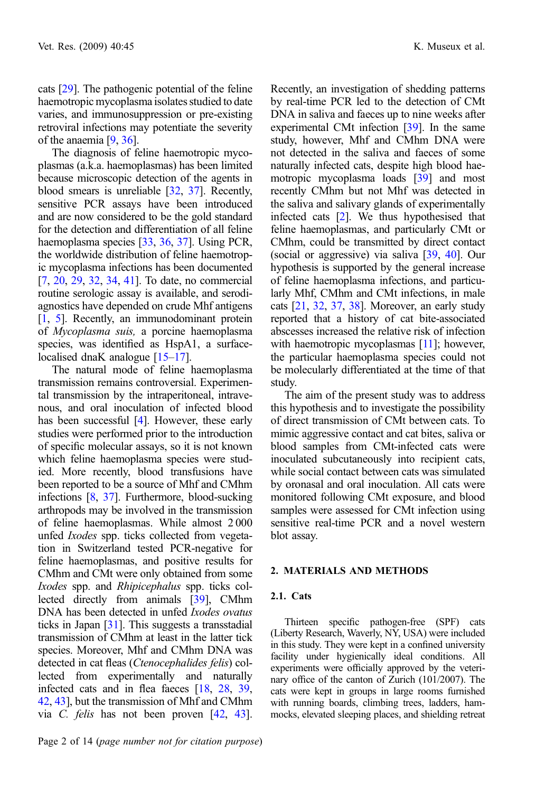cats [\[29\]](#page-13-0). The pathogenic potential of the feline haemotropic mycoplasma isolates studied to date varies, and immunosuppression or pre-existing retroviral infections may potentiate the severity of the anaemia [[9](#page-12-0), [36\]](#page-13-0).

The diagnosis of feline haemotropic mycoplasmas (a.k.a. haemoplasmas) has been limited because microscopic detection of the agents in blood smears is unreliable [\[32,](#page-13-0) [37](#page-13-0)]. Recently, sensitive PCR assays have been introduced and are now considered to be the gold standard for the detection and differentiation of all feline haemoplasma species [\[33,](#page-13-0) [36,](#page-13-0) [37\]](#page-13-0). Using PCR, the worldwide distribution of feline haemotropic mycoplasma infections has been documented [[7,](#page-12-0) [20,](#page-12-0) [29,](#page-13-0) [32,](#page-13-0) [34,](#page-13-0) [41\]](#page-13-0). To date, no commercial routine serologic assay is available, and serodiagnostics have depended on crude Mhf antigens [[1,](#page-11-0) [5](#page-11-0)]. Recently, an immunodominant protein of Mycoplasma suis, a porcine haemoplasma species, was identified as HspA1, a surface-localised dnaK analogue [\[15–17](#page-12-0)].

The natural mode of feline haemoplasma transmission remains controversial. Experimental transmission by the intraperitoneal, intravenous, and oral inoculation of infected blood has been successful [\[4](#page-11-0)]. However, these early studies were performed prior to the introduction of specific molecular assays, so it is not known which feline haemoplasma species were studied. More recently, blood transfusions have been reported to be a source of Mhf and CMhm infections [\[8](#page-12-0), [37](#page-13-0)]. Furthermore, blood-sucking arthropods may be involved in the transmission of feline haemoplasmas. While almost 2 000 unfed Ixodes spp. ticks collected from vegetation in Switzerland tested PCR-negative for feline haemoplasmas, and positive results for CMhm and CMt were only obtained from some Ixodes spp. and Rhipicephalus spp. ticks collected directly from animals [\[39\]](#page-13-0), CMhm DNA has been detected in unfed *Ixodes ovatus* ticks in Japan [\[31\]](#page-13-0). This suggests a transstadial transmission of CMhm at least in the latter tick species. Moreover, Mhf and CMhm DNA was detected in cat fleas (Ctenocephalides felis) collected from experimentally and naturally infected cats and in flea faeces [\[18](#page-12-0), [28](#page-13-0), [39](#page-13-0), [42](#page-13-0), [43\]](#page-13-0), but the transmission of Mhf and CMhm via C. felis has not been proven [[42](#page-13-0), [43](#page-13-0)]. Recently, an investigation of shedding patterns by real-time PCR led to the detection of CMt DNA in saliva and faeces up to nine weeks after experimental CMt infection [\[39](#page-13-0)]. In the same study, however, Mhf and CMhm DNA were not detected in the saliva and faeces of some naturally infected cats, despite high blood haemotropic mycoplasma loads [\[39\]](#page-13-0) and most recently CMhm but not Mhf was detected in the saliva and salivary glands of experimentally infected cats [[2\]](#page-11-0). We thus hypothesised that feline haemoplasmas, and particularly CMt or CMhm, could be transmitted by direct contact (social or aggressive) via saliva [\[39,](#page-13-0) [40](#page-13-0)]. Our hypothesis is supported by the general increase of feline haemoplasma infections, and particularly Mhf, CMhm and CMt infections, in male cats [[21](#page-12-0), [32,](#page-13-0) [37,](#page-13-0) [38](#page-13-0)]. Moreover, an early study reported that a history of cat bite-associated abscesses increased the relative risk of infection with haemotropic mycoplasmas [\[11](#page-12-0)]; however, the particular haemoplasma species could not be molecularly differentiated at the time of that study.

The aim of the present study was to address this hypothesis and to investigate the possibility of direct transmission of CMt between cats. To mimic aggressive contact and cat bites, saliva or blood samples from CMt-infected cats were inoculated subcutaneously into recipient cats, while social contact between cats was simulated by oronasal and oral inoculation. All cats were monitored following CMt exposure, and blood samples were assessed for CMt infection using sensitive real-time PCR and a novel western blot assay.

#### 2. MATERIALS AND METHODS

#### 2.1. Cats

Thirteen specific pathogen-free (SPF) cats (Liberty Research, Waverly, NY, USA) were included in this study. They were kept in a confined university facility under hygienically ideal conditions. All experiments were officially approved by the veterinary office of the canton of Zurich (101/2007). The cats were kept in groups in large rooms furnished with running boards, climbing trees, ladders, hammocks, elevated sleeping places, and shielding retreat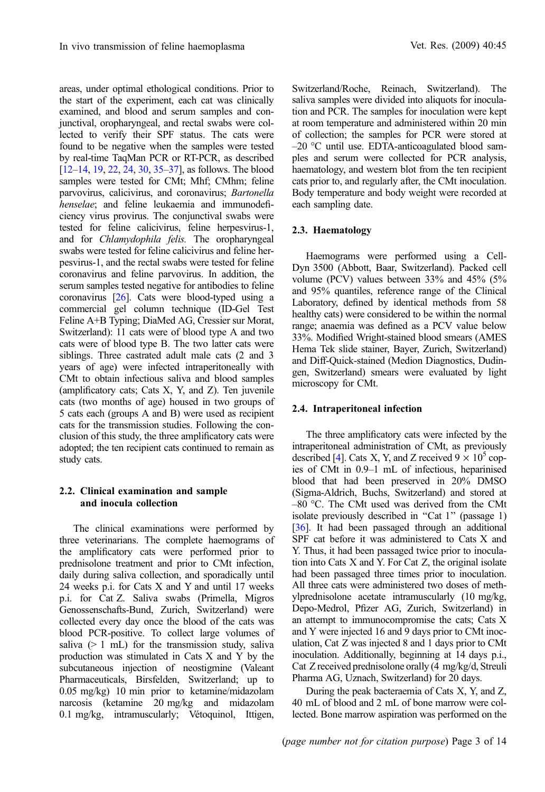areas, under optimal ethological conditions. Prior to the start of the experiment, each cat was clinically examined, and blood and serum samples and conjunctival, oropharyngeal, and rectal swabs were collected to verify their SPF status. The cats were found to be negative when the samples were tested by real-time TaqMan PCR or RT-PCR, as described [[12](#page-12-0)–[14](#page-12-0), [19](#page-12-0), [22](#page-12-0), [24,](#page-12-0) [30,](#page-13-0) [35](#page-13-0)–[37\]](#page-13-0), as follows. The blood samples were tested for CMt; Mhf; CMhm; feline parvovirus, calicivirus, and coronavirus; Bartonella henselae; and feline leukaemia and immunodeficiency virus provirus. The conjunctival swabs were tested for feline calicivirus, feline herpesvirus-1, and for Chlamydophila felis. The oropharyngeal swabs were tested for feline calicivirus and feline herpesvirus-1, and the rectal swabs were tested for feline coronavirus and feline parvovirus. In addition, the serum samples tested negative for antibodies to feline coronavirus [\[26](#page-13-0)]. Cats were blood-typed using a commercial gel column technique (ID-Gel Test Feline A+B Typing; DiaMed AG, Cressier sur Morat, Switzerland): 11 cats were of blood type A and two cats were of blood type B. The two latter cats were siblings. Three castrated adult male cats (2 and 3 years of age) were infected intraperitoneally with CMt to obtain infectious saliva and blood samples (amplificatory cats; Cats X, Y, and Z). Ten juvenile cats (two months of age) housed in two groups of 5 cats each (groups A and B) were used as recipient cats for the transmission studies. Following the conclusion of this study, the three amplificatory cats were adopted; the ten recipient cats continued to remain as study cats.

# 2.2. Clinical examination and sample and inocula collection

The clinical examinations were performed by three veterinarians. The complete haemograms of the amplificatory cats were performed prior to prednisolone treatment and prior to CMt infection, daily during saliva collection, and sporadically until 24 weeks p.i. for Cats X and Y and until 17 weeks p.i. for Cat Z. Saliva swabs (Primella, Migros Genossenschafts-Bund, Zurich, Switzerland) were collected every day once the blood of the cats was blood PCR-positive. To collect large volumes of saliva  $(> 1 \text{ mL})$  for the transmission study, saliva production was stimulated in Cats X and Y by the subcutaneous injection of neostigmine (Valeant Pharmaceuticals, Birsfelden, Switzerland; up to 0.05 mg/kg) 10 min prior to ketamine/midazolam narcosis (ketamine 20 mg/kg and midazolam 0.1 mg/kg, intramuscularly; Vétoquinol, Ittigen, Switzerland/Roche, Reinach, Switzerland). The saliva samples were divided into aliquots for inoculation and PCR. The samples for inoculation were kept at room temperature and administered within 20 min of collection; the samples for PCR were stored at  $-20$  °C until use. EDTA-anticoagulated blood samples and serum were collected for PCR analysis, haematology, and western blot from the ten recipient cats prior to, and regularly after, the CMt inoculation. Body temperature and body weight were recorded at each sampling date.

# 2.3. Haematology

Haemograms were performed using a Cell-Dyn 3500 (Abbott, Baar, Switzerland). Packed cell volume (PCV) values between 33% and 45% (5% and 95% quantiles, reference range of the Clinical Laboratory, defined by identical methods from 58 healthy cats) were considered to be within the normal range; anaemia was defined as a PCV value below 33%. Modified Wright-stained blood smears (AMES Hema Tek slide stainer, Bayer, Zurich, Switzerland) and Diff-Quick-stained (Medion Diagnostics, Dudingen, Switzerland) smears were evaluated by light microscopy for CMt.

#### 2.4. Intraperitoneal infection

The three amplificatory cats were infected by the intraperitoneal administration of CMt, as previously described [\[4\]](#page-11-0). Cats X, Y, and Z received  $9 \times 10^5$  copies of CMt in 0.9–1 mL of infectious, heparinised blood that had been preserved in 20% DMSO (Sigma-Aldrich, Buchs, Switzerland) and stored at  $-80$  °C. The CMt used was derived from the CMt isolate previously described in "Cat 1" (passage 1) [[36](#page-13-0)]. It had been passaged through an additional SPF cat before it was administered to Cats X and Y. Thus, it had been passaged twice prior to inoculation into Cats X and Y. For Cat Z, the original isolate had been passaged three times prior to inoculation. All three cats were administered two doses of methylprednisolone acetate intramuscularly (10 mg/kg, Depo-Medrol, Pfizer AG, Zurich, Switzerland) in an attempt to immunocompromise the cats; Cats X and Y were injected 16 and 9 days prior to CMt inoculation, Cat Z was injected 8 and 1 days prior to CMt inoculation. Additionally, beginning at 14 days p.i., Cat Z received prednisolone orally (4 mg/kg/d, Streuli Pharma AG, Uznach, Switzerland) for 20 days.

During the peak bacteraemia of Cats X, Y, and Z, 40 mL of blood and 2 mL of bone marrow were collected. Bone marrow aspiration was performed on the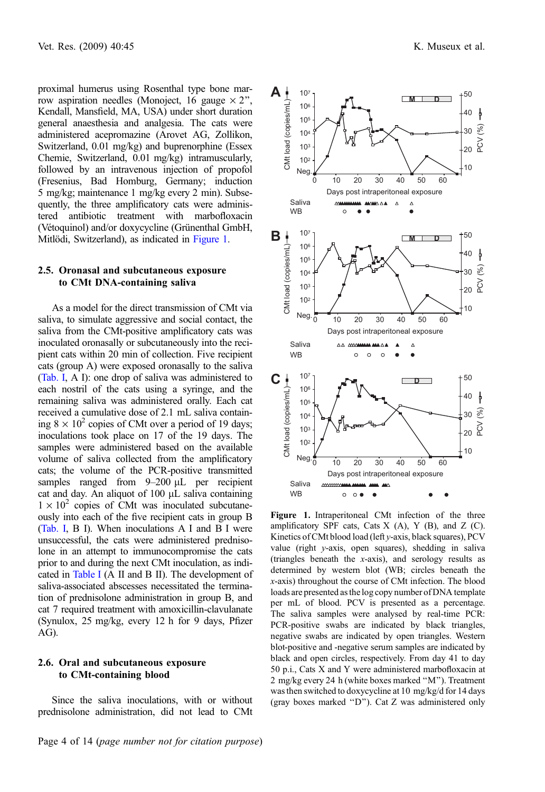<span id="page-3-0"></span>proximal humerus using Rosenthal type bone marrow aspiration needles (Monoject, 16 gauge  $\times$  2", Kendall, Mansfield, MA, USA) under short duration general anaesthesia and analgesia. The cats were administered acepromazine (Arovet AG, Zollikon, Switzerland, 0.01 mg/kg) and buprenorphine (Essex Chemie, Switzerland, 0.01 mg/kg) intramuscularly, followed by an intravenous injection of propofol (Fresenius, Bad Homburg, Germany; induction 5 mg/kg; maintenance 1 mg/kg every 2 min). Subsequently, the three amplificatory cats were administered antibiotic treatment with marbofloxacin (Vétoquinol) and/or doxycycline (Grünenthal GmbH, Mitlödi, Switzerland), as indicated in Figure 1.

#### 2.5. Oronasal and subcutaneous exposure to CMt DNA-containing saliva

As a model for the direct transmission of CMt via saliva, to simulate aggressive and social contact, the saliva from the CMt-positive amplificatory cats was inoculated oronasally or subcutaneously into the recipient cats within 20 min of collection. Five recipient cats (group A) were exposed oronasally to the saliva [\(Tab. I,](#page-4-0) A I): one drop of saliva was administered to each nostril of the cats using a syringe, and the remaining saliva was administered orally. Each cat received a cumulative dose of 2.1 mL saliva containing  $8 \times 10^2$  copies of CMt over a period of 19 days; inoculations took place on 17 of the 19 days. The samples were administered based on the available volume of saliva collected from the amplificatory cats; the volume of the PCR-positive transmitted samples ranged from  $9-200 \mu L$  per recipient cat and day. An aliquot of  $100 \mu L$  saliva containing  $1 \times 10^2$  copies of CMt was inoculated subcutaneously into each of the five recipient cats in group B [\(Tab. I,](#page-4-0) B I). When inoculations A I and B I were unsuccessful, the cats were administered prednisolone in an attempt to immunocompromise the cats prior to and during the next CMt inoculation, as indicated in [Table I](#page-4-0) (A II and B II). The development of saliva-associated abscesses necessitated the termination of prednisolone administration in group B, and cat 7 required treatment with amoxicillin-clavulanate (Synulox, 25 mg/kg, every 12 h for 9 days, Pfizer AG).

# 2.6. Oral and subcutaneous exposure to CMt-containing blood

Since the saliva inoculations, with or without prednisolone administration, did not lead to CMt



Figure 1. Intraperitoneal CMt infection of the three amplificatory SPF cats, Cats  $X(A)$ ,  $Y(B)$ , and  $Z(C)$ . Kinetics of CMt blood load (left y-axis, black squares), PCV value (right y-axis, open squares), shedding in saliva (triangles beneath the x-axis), and serology results as determined by western blot (WB; circles beneath the x-axis) throughout the course of CMt infection. The blood loads are presented as the log copy number of DNA template per mL of blood. PCV is presented as a percentage. The saliva samples were analysed by real-time PCR: PCR-positive swabs are indicated by black triangles, negative swabs are indicated by open triangles. Western blot-positive and -negative serum samples are indicated by black and open circles, respectively. From day 41 to day 50 p.i., Cats X and Y were administered marbofloxacin at 2 mg/kg every 24 h (white boxes marked ''M''). Treatment was then switched to doxycycline at 10 mg/kg/d for 14 days (gray boxes marked ''D''). Cat Z was administered only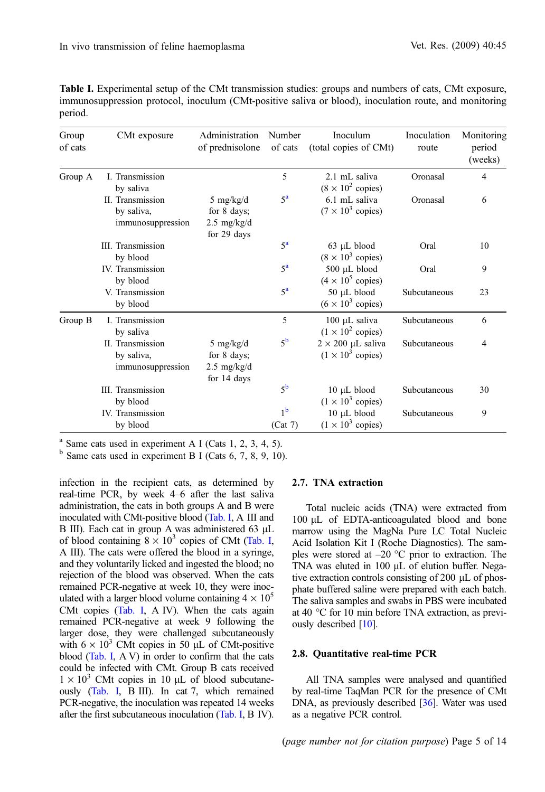<span id="page-4-0"></span>Table I. Experimental setup of the CMt transmission studies: groups and numbers of cats, CMt exposure, immunosuppression protocol, inoculum (CMt-positive saliva or blood), inoculation route, and monitoring period.

| Group<br>of cats | CMt exposure                                        | Administration<br>of prednisolone                                | Number<br>of cats         | Inoculum<br>(total copies of CMt)                    | Inoculation<br>route | Monitoring<br>period<br>(weeks) |
|------------------|-----------------------------------------------------|------------------------------------------------------------------|---------------------------|------------------------------------------------------|----------------------|---------------------------------|
| Group A          | I. Transmission<br>by saliva                        |                                                                  | 5                         | 2.1 mL saliva<br>$(8 \times 10^2$ copies)            | Oronasal             | 4                               |
|                  | II. Transmission<br>by saliva,<br>immunosuppression | 5 mg/kg/d<br>for 8 days;<br>$2.5 \text{ mg/kg/d}$<br>for 29 days | $5^{\mathrm{a}}$          | 6.1 mL saliva<br>$(7 \times 10^3$ copies)            | Oronasal             | 6                               |
|                  | <b>III.</b> Transmission<br>by blood                |                                                                  | $5^{\rm a}$               | 63 µL blood<br>$(8 \times 10^3$ copies)              | Oral                 | 10                              |
|                  | <b>IV.</b> Transmission<br>by blood                 |                                                                  | $5^{\rm a}$               | 500 µL blood<br>$(4 \times 10^5$ copies)             | Oral                 | 9                               |
|                  | V. Transmission<br>by blood                         |                                                                  | 5 <sup>a</sup>            | 50 µL blood<br>$(6 \times 10^3$ copies)              | Subcutaneous         | 23                              |
| Group B          | <b>I.</b> Transmission<br>by saliva                 |                                                                  | 5                         | 100 µL saliva<br>$(1 \times 10^2$ copies)            | Subcutaneous         | 6                               |
|                  | II. Transmission<br>by saliva,<br>immunosuppression | 5 mg/kg/d<br>for 8 days;<br>$2.5 \text{ mg/kg/d}$<br>for 14 days | 5 <sup>b</sup>            | $2 \times 200$ µL saliva<br>$(1 \times 10^3$ copies) | Subcutaneous         | 4                               |
|                  | <b>III.</b> Transmission<br>by blood                |                                                                  | 5 <sup>b</sup>            | 10 µL blood<br>$(1 \times 10^3$ copies)              | Subcutaneous         | 30                              |
|                  | IV. Transmission<br>by blood                        |                                                                  | 1 <sup>b</sup><br>(Cat 7) | 10 µL blood<br>$(1 \times 10^3$ copies)              | Subcutaneous         | 9                               |

 $a<sup>a</sup>$  Same cats used in experiment A I (Cats 1, 2, 3, 4, 5).

 $<sup>b</sup>$  Same cats used in experiment B I (Cats 6, 7, 8, 9, 10).</sup>

infection in the recipient cats, as determined by real-time PCR, by week 4–6 after the last saliva administration, the cats in both groups A and B were inoculated with CMt-positive blood (Tab. I, A III and B III). Each cat in group A was administered 63  $\mu$ L of blood containing  $8 \times 10^3$  copies of CMt (Tab. I, A III). The cats were offered the blood in a syringe, and they voluntarily licked and ingested the blood; no rejection of the blood was observed. When the cats remained PCR-negative at week 10, they were inoculated with a larger blood volume containing  $4 \times 10^5$ CMt copies (Tab. I, A IV). When the cats again remained PCR-negative at week 9 following the larger dose, they were challenged subcutaneously with  $6 \times 10^3$  CMt copies in 50 µL of CMt-positive blood (Tab. I, A V) in order to confirm that the cats could be infected with CMt. Group B cats received  $1 \times 10^3$  CMt copies in 10 µL of blood subcutaneously (Tab. I, B III). In cat 7, which remained PCR-negative, the inoculation was repeated 14 weeks after the first subcutaneous inoculation (Tab. I, B IV).

#### 2.7. TNA extraction

Total nucleic acids (TNA) were extracted from 100 uL of EDTA-anticoagulated blood and bone marrow using the MagNa Pure LC Total Nucleic Acid Isolation Kit I (Roche Diagnostics). The samples were stored at  $-20$  °C prior to extraction. The TNA was eluted in  $100 \mu L$  of elution buffer. Negative extraction controls consisting of 200 µL of phosphate buffered saline were prepared with each batch. The saliva samples and swabs in PBS were incubated at 40  $\degree$ C for 10 min before TNA extraction, as previously described  $[10]$ .

#### 2.8. Quantitative real-time PCR

All TNA samples were analysed and quantified by real-time TaqMan PCR for the presence of CMt DNA, as previously described [[36\]](#page-13-0). Water was used as a negative PCR control.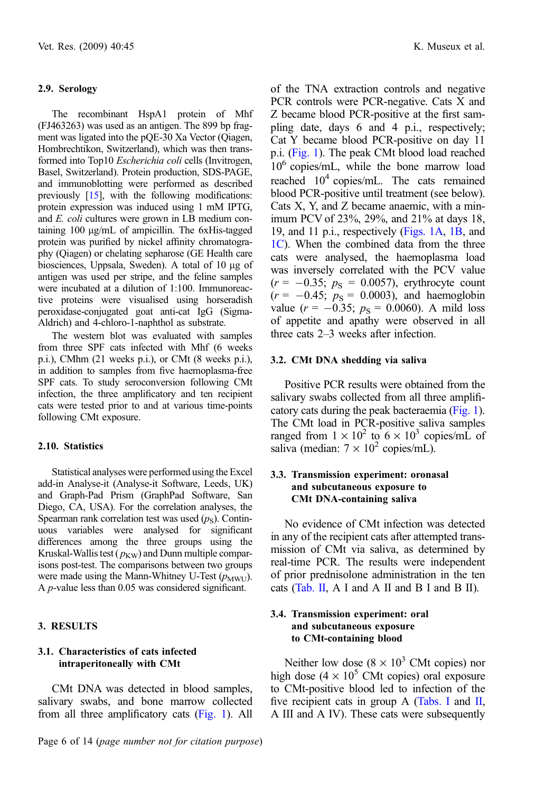#### 2.9. Serology

The recombinant HspA1 protein of Mhf (FJ463263) was used as an antigen. The 899 bp fragment was ligated into the pQE-30 Xa Vector (Qiagen, Hombrechtikon, Switzerland), which was then transformed into Top10 *Escherichia coli* cells (Invitrogen, Basel, Switzerland). Protein production, SDS-PAGE, and immunoblotting were performed as described previously [\[15\]](#page-12-0), with the following modifications: protein expression was induced using 1 mM IPTG, and *E. coli* cultures were grown in LB medium containing 100 µg/mL of ampicillin. The 6xHis-tagged protein was purified by nickel affinity chromatography (Qiagen) or chelating sepharose (GE Health care biosciences, Uppsala, Sweden). A total of 10 µg of antigen was used per stripe, and the feline samples were incubated at a dilution of 1:100. Immunoreactive proteins were visualised using horseradish peroxidase-conjugated goat anti-cat IgG (Sigma-Aldrich) and 4-chloro-1-naphthol as substrate.

The western blot was evaluated with samples from three SPF cats infected with Mhf (6 weeks p.i.), CMhm (21 weeks p.i.), or CMt (8 weeks p.i.), in addition to samples from five haemoplasma-free SPF cats. To study seroconversion following CMt infection, the three amplificatory and ten recipient cats were tested prior to and at various time-points following CMt exposure.

#### 2.10. Statistics

Statistical analyses were performed using the Excel add-in Analyse-it (Analyse-it Software, Leeds, UK) and Graph-Pad Prism (GraphPad Software, San Diego, CA, USA). For the correlation analyses, the Spearman rank correlation test was used  $(p_S)$ . Continuous variables were analysed for significant differences among the three groups using the Kruskal-Wallis test ( $p_{\text{KW}}$ ) and Dunn multiple comparisons post-test. The comparisons between two groups were made using the Mann-Whitney U-Test  $(p_{\text{MWU}})$ . A p-value less than 0.05 was considered significant.

# 3. RESULTS

#### 3.1. Characteristics of cats infected intraperitoneally with CMt

CMt DNA was detected in blood samples, salivary swabs, and bone marrow collected from all three amplificatory cats [\(Fig. 1\)](#page-3-0). All of the TNA extraction controls and negative PCR controls were PCR-negative. Cats X and Z became blood PCR-positive at the first sampling date, days 6 and 4 p.i., respectively; Cat Y became blood PCR-positive on day 11 p.i. ([Fig. 1\)](#page-3-0). The peak CMt blood load reached  $10<sup>6</sup>$  copies/mL, while the bone marrow load reached 104 copies/mL. The cats remained blood PCR-positive until treatment (see below). Cats X, Y, and Z became anaemic, with a minimum PCV of 23%, 29%, and 21% at days 18, 19, and 11 p.i., respectively ([Figs. 1A](#page-3-0), [1B](#page-3-0), and [1C\)](#page-3-0). When the combined data from the three cats were analysed, the haemoplasma load was inversely correlated with the PCV value  $(r = -0.35; p_S = 0.0057)$ , erythrocyte count  $(r = -0.45; p_S = 0.0003)$ , and haemoglobin value ( $r = -0.35$ ;  $p_s = 0.0060$ ). A mild loss of appetite and apathy were observed in all three cats 2–3 weeks after infection.

#### 3.2. CMt DNA shedding via saliva

Positive PCR results were obtained from the salivary swabs collected from all three amplificatory cats during the peak bacteraemia ([Fig. 1](#page-3-0)). The CMt load in PCR-positive saliva samples ranged from  $1 \times 10^2$  to  $6 \times 10^3$  copies/mL of saliva (median:  $7 \times 10^2$  copies/mL).

# 3.3. Transmission experiment: oronasal and subcutaneous exposure to CMt DNA-containing saliva

No evidence of CMt infection was detected in any of the recipient cats after attempted transmission of CMt via saliva, as determined by real-time PCR. The results were independent of prior prednisolone administration in the ten cats ([Tab. II,](#page-6-0) A I and A II and B I and B II).

#### 3.4. Transmission experiment: oral and subcutaneous exposure to CMt-containing blood

Neither low dose  $(8 \times 10^3 \text{ CMt copies})$  nor high dose  $(4 \times 10^5 \text{ CMt}$  copies) oral exposure to CMt-positive blood led to infection of the five recipient cats in group A ([Tabs. I](#page-4-0) and [II](#page-6-0), A III and A IV). These cats were subsequently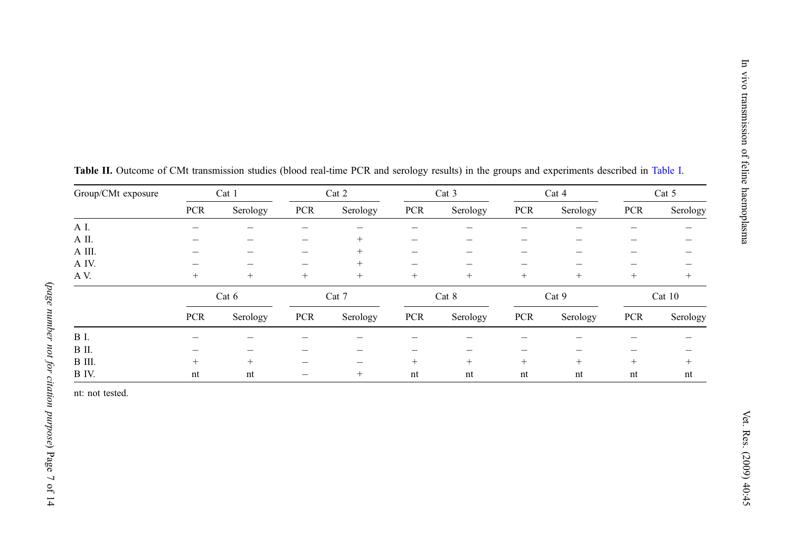| Group/CMt exposure | Cat 1      |          | Cat 2      |          | Cat 3  |          | Cat 4      |          | Cat 5      |          |
|--------------------|------------|----------|------------|----------|--------|----------|------------|----------|------------|----------|
|                    | <b>PCR</b> | Serology | <b>PCR</b> | Serology | PCR    | Serology | <b>PCR</b> | Serology | <b>PCR</b> | Serology |
| AI.                |            |          |            |          |        |          |            |          |            |          |
| A II.              |            |          |            | $^{+}$   |        |          |            |          |            |          |
| A III.             |            |          |            | $^{+}$   |        |          |            |          |            |          |
| A IV.              |            |          |            | $^{+}$   |        |          |            |          | -          |          |
| AV.                | $+$        | $^{+}$   | $^{+}$     | $^{+}$   | $^{+}$ | $^{+}$   | $+$        | $^{+}$   | $^{+}$     | $\pm$    |
|                    |            | Cat 6    |            | Cat 7    |        | Cat 8    |            | Cat 9    |            | Cat 10   |
|                    | <b>PCR</b> | Serology | <b>PCR</b> | Serology | PCR    | Serology | <b>PCR</b> | Serology | <b>PCR</b> | Serology |
| <b>B</b> I.        |            |          |            |          |        |          |            |          |            |          |
| B II.              |            |          |            |          |        |          |            |          |            |          |
| B III.             | $+$        | $^{+}$   |            |          | $^{+}$ | $^{+}$   | $^{+}$     | $^{+}$   | $^{+}$     | $\pm$    |
| B IV.              | nt         | nt       |            | $^{+}$   | nt     | nt       | nt         | nt       | nt         | nt       |

<span id="page-6-0"></span>Table II. Outcome of CMt transmission studies (blood real-time PCR and serology results) in the groups and experiments described in [Table](#page-4-0) I.

nt: not tested.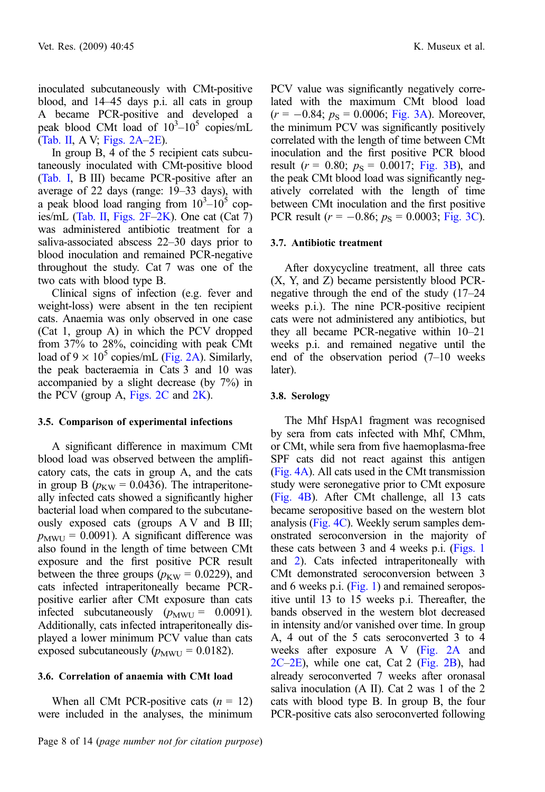inoculated subcutaneously with CMt-positive blood, and 14–45 days p.i. all cats in group A became PCR-positive and developed a peak blood CMt load of  $10^3 - 10^5$  copies/mL ([Tab. II,](#page-6-0) A V; [Figs. 2A–2E\)](#page-8-0).

In group B, 4 of the 5 recipient cats subcutaneously inoculated with CMt-positive blood ([Tab. I](#page-4-0), B III) became PCR-positive after an average of 22 days (range: 19–33 days), with a peak blood load ranging from  $10^3 - 10^5$  cop-ies/mL [\(Tab. II,](#page-6-0) Figs.  $2F-2K$ ). One cat (Cat 7) was administered antibiotic treatment for a saliva-associated abscess 22–30 days prior to blood inoculation and remained PCR-negative throughout the study. Cat 7 was one of the two cats with blood type B.

Clinical signs of infection (e.g. fever and weight-loss) were absent in the ten recipient cats. Anaemia was only observed in one case (Cat 1, group A) in which the PCV dropped from 37% to 28%, coinciding with peak CMt load of  $9 \times 10^5$  copies/mL ([Fig. 2A](#page-8-0)). Similarly, the peak bacteraemia in Cats 3 and 10 was accompanied by a slight decrease (by 7%) in the PCV (group A, Figs.  $2C$  and  $2K$ ).

#### 3.5. Comparison of experimental infections

A significant difference in maximum CMt blood load was observed between the amplificatory cats, the cats in group A, and the cats in group B ( $p_{\text{KW}} = 0.0436$ ). The intraperitoneally infected cats showed a significantly higher bacterial load when compared to the subcutaneously exposed cats (groups A V and B III;  $p_{\text{MWU}} = 0.0091$ ). A significant difference was also found in the length of time between CMt exposure and the first positive PCR result between the three groups ( $p_{\text{KW}} = 0.0229$ ), and cats infected intraperitoneally became PCRpositive earlier after CMt exposure than cats infected subcutaneously  $(p_{\text{MWU}} = 0.0091)$ . Additionally, cats infected intraperitoneally displayed a lower minimum PCV value than cats exposed subcutaneously  $(p_{\text{MWU}} = 0.0182)$ .

#### 3.6. Correlation of anaemia with CMt load

When all CMt PCR-positive cats  $(n = 12)$ were included in the analyses, the minimum PCV value was significantly negatively correlated with the maximum CMt blood load  $(r = -0.84; p_S = 0.0006; \text{ Fig. 3A})$  $(r = -0.84; p_S = 0.0006; \text{ Fig. 3A})$  $(r = -0.84; p_S = 0.0006; \text{ Fig. 3A})$ . Moreover, the minimum PCV was significantly positively correlated with the length of time between CMt inoculation and the first positive PCR blood result ( $r = 0.80$ ;  $p_s = 0.0017$ ; [Fig. 3B](#page-9-0)), and the peak CMt blood load was significantly negatively correlated with the length of time between CMt inoculation and the first positive PCR result ( $r = -0.86$ ;  $p_S = 0.0003$ ; [Fig. 3C](#page-9-0)).

#### 3.7. Antibiotic treatment

After doxycycline treatment, all three cats (X, Y, and Z) became persistently blood PCRnegative through the end of the study (17–24 weeks p.i.). The nine PCR-positive recipient cats were not administered any antibiotics, but they all became PCR-negative within 10–21 weeks p.i. and remained negative until the end of the observation period (7–10 weeks later).

#### 3.8. Serology

The Mhf HspA1 fragment was recognised by sera from cats infected with Mhf, CMhm, or CMt, while sera from five haemoplasma-free SPF cats did not react against this antigen ([Fig. 4A\)](#page-9-0). All cats used in the CMt transmission study were seronegative prior to CMt exposure ([Fig. 4B\)](#page-9-0). After CMt challenge, all 13 cats became seropositive based on the western blot analysis ([Fig. 4C\)](#page-9-0). Weekly serum samples demonstrated seroconversion in the majority of these cats between 3 and 4 weeks p.i. [\(Figs. 1](#page-3-0) and [2\)](#page-8-0). Cats infected intraperitoneally with CMt demonstrated seroconversion between 3 and 6 weeks p.i. [\(Fig. 1\)](#page-3-0) and remained seropositive until 13 to 15 weeks p.i. Thereafter, the bands observed in the western blot decreased in intensity and/or vanished over time. In group A, 4 out of the 5 cats seroconverted 3 to 4 weeks after exposure A V [\(Fig. 2A](#page-8-0) and [2C–2E](#page-8-0)), while one cat, Cat 2 [\(Fig. 2B](#page-8-0)), had already seroconverted 7 weeks after oronasal saliva inoculation (A II). Cat 2 was 1 of the 2 cats with blood type B. In group B, the four PCR-positive cats also seroconverted following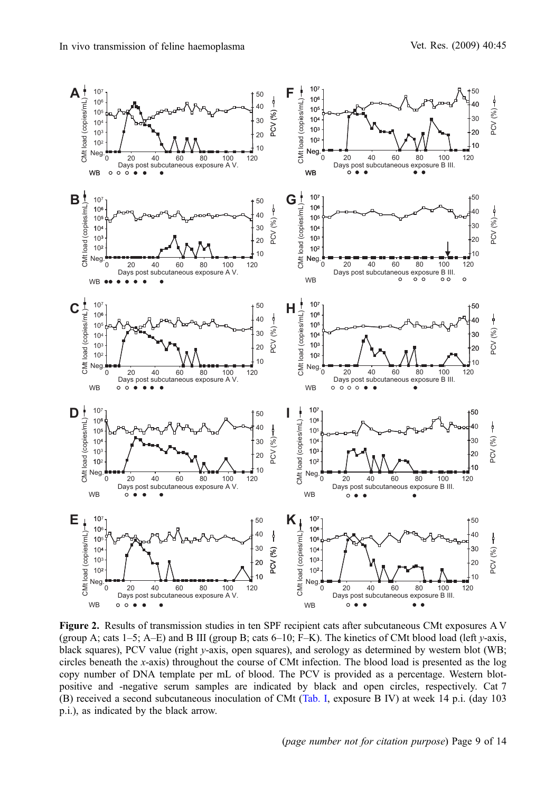<span id="page-8-0"></span>

Figure 2. Results of transmission studies in ten SPF recipient cats after subcutaneous CMt exposures A V (group A; cats 1–5; A–E) and B III (group B; cats 6–10; F–K). The kinetics of CMt blood load (left  $\nu$ -axis, black squares), PCV value (right y-axis, open squares), and serology as determined by western blot (WB; circles beneath the x-axis) throughout the course of CMt infection. The blood load is presented as the log copy number of DNA template per mL of blood. The PCV is provided as a percentage. Western blotpositive and -negative serum samples are indicated by black and open circles, respectively. Cat 7 (B) received a second subcutaneous inoculation of CMt ([Tab. I](#page-4-0), exposure B IV) at week 14 p.i. (day 103 p.i.), as indicated by the black arrow.

(page number not for citation purpose) Page 9 of 14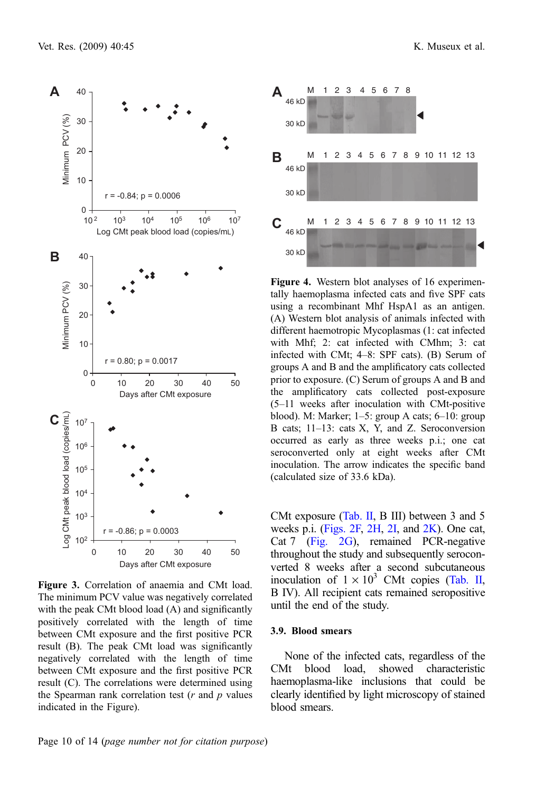<span id="page-9-0"></span>

Figure 3. Correlation of anaemia and CMt load. The minimum PCV value was negatively correlated with the peak CMt blood load (A) and significantly positively correlated with the length of time between CMt exposure and the first positive PCR result (B). The peak CMt load was significantly negatively correlated with the length of time between CMt exposure and the first positive PCR result (C). The correlations were determined using the Spearman rank correlation test  $(r$  and  $p$  values indicated in the Figure).



Figure 4. Western blot analyses of 16 experimentally haemoplasma infected cats and five SPF cats using a recombinant Mhf HspA1 as an antigen. (A) Western blot analysis of animals infected with different haemotropic Mycoplasmas (1: cat infected with Mhf; 2: cat infected with CMhm; 3: cat infected with CMt; 4–8: SPF cats). (B) Serum of groups A and B and the amplificatory cats collected prior to exposure. (C) Serum of groups A and B and the amplificatory cats collected post-exposure (5–11 weeks after inoculation with CMt-positive blood). M: Marker; 1–5: group A cats; 6–10: group B cats; 11–13: cats X, Y, and Z. Seroconversion occurred as early as three weeks p.i.; one cat seroconverted only at eight weeks after CMt inoculation. The arrow indicates the specific band (calculated size of 33.6 kDa).

CMt exposure [\(Tab. II](#page-6-0), B III) between 3 and 5 weeks p.i. [\(Figs. 2F,](#page-8-0) [2H](#page-8-0), [2I,](#page-8-0) and [2K](#page-8-0)). One cat, Cat 7 [\(Fig. 2G\)](#page-8-0), remained PCR-negative throughout the study and subsequently seroconverted 8 weeks after a second subcutaneous inoculation of  $1 \times 10^3$  CMt copies ([Tab. II](#page-6-0), B IV). All recipient cats remained seropositive until the end of the study.

#### 3.9. Blood smears

None of the infected cats, regardless of the CMt blood load, showed characteristic haemoplasma-like inclusions that could be clearly identified by light microscopy of stained blood smears.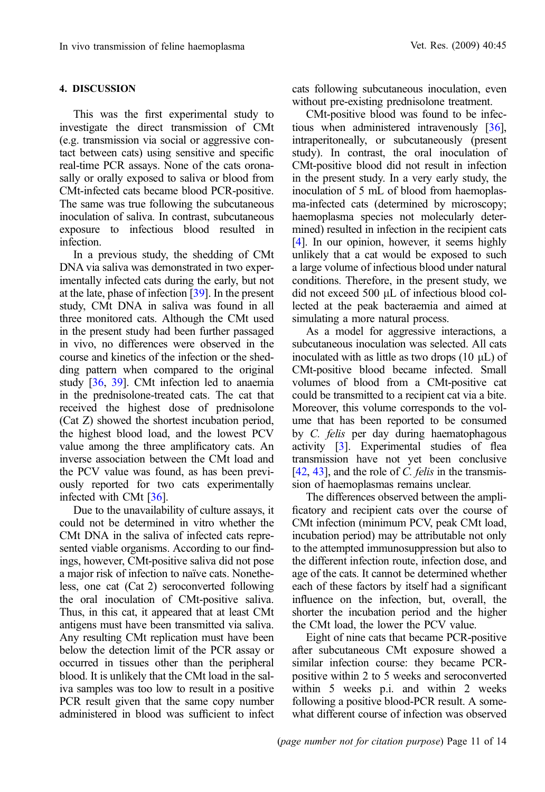# 4. DISCUSSION

This was the first experimental study to investigate the direct transmission of CMt (e.g. transmission via social or aggressive contact between cats) using sensitive and specific real-time PCR assays. None of the cats oronasally or orally exposed to saliva or blood from CMt-infected cats became blood PCR-positive. The same was true following the subcutaneous inoculation of saliva. In contrast, subcutaneous exposure to infectious blood resulted in infection.

In a previous study, the shedding of CMt DNA via saliva was demonstrated in two experimentally infected cats during the early, but not at the late, phase of infection [\[39\]](#page-13-0). In the present study, CMt DNA in saliva was found in all three monitored cats. Although the CMt used in the present study had been further passaged in vivo, no differences were observed in the course and kinetics of the infection or the shedding pattern when compared to the original study [\[36](#page-13-0), [39](#page-13-0)]. CMt infection led to anaemia in the prednisolone-treated cats. The cat that received the highest dose of prednisolone (Cat Z) showed the shortest incubation period, the highest blood load, and the lowest PCV value among the three amplificatory cats. An inverse association between the CMt load and the PCV value was found, as has been previously reported for two cats experimentally infected with CMt [\[36](#page-13-0)].

Due to the unavailability of culture assays, it could not be determined in vitro whether the CMt DNA in the saliva of infected cats represented viable organisms. According to our findings, however, CMt-positive saliva did not pose a major risk of infection to naïve cats. Nonetheless, one cat (Cat 2) seroconverted following the oral inoculation of CMt-positive saliva. Thus, in this cat, it appeared that at least CMt antigens must have been transmitted via saliva. Any resulting CMt replication must have been below the detection limit of the PCR assay or occurred in tissues other than the peripheral blood. It is unlikely that the CMt load in the saliva samples was too low to result in a positive PCR result given that the same copy number administered in blood was sufficient to infect

cats following subcutaneous inoculation, even without pre-existing prednisolone treatment.

CMt-positive blood was found to be infectious when administered intravenously [[36\]](#page-13-0), intraperitoneally, or subcutaneously (present study). In contrast, the oral inoculation of CMt-positive blood did not result in infection in the present study. In a very early study, the inoculation of 5 mL of blood from haemoplasma-infected cats (determined by microscopy; haemoplasma species not molecularly determined) resulted in infection in the recipient cats [\[4\]](#page-11-0). In our opinion, however, it seems highly unlikely that a cat would be exposed to such a large volume of infectious blood under natural conditions. Therefore, in the present study, we did not exceed  $500 \mu L$  of infectious blood collected at the peak bacteraemia and aimed at simulating a more natural process.

As a model for aggressive interactions, a subcutaneous inoculation was selected. All cats inoculated with as little as two drops  $(10 \mu L)$  of CMt-positive blood became infected. Small volumes of blood from a CMt-positive cat could be transmitted to a recipient cat via a bite. Moreover, this volume corresponds to the volume that has been reported to be consumed by C. felis per day during haematophagous activity [\[3\]](#page-11-0). Experimental studies of flea transmission have not yet been conclusive  $[42, 43]$  $[42, 43]$  $[42, 43]$  $[42, 43]$ , and the role of C. felis in the transmission of haemoplasmas remains unclear.

The differences observed between the amplificatory and recipient cats over the course of CMt infection (minimum PCV, peak CMt load, incubation period) may be attributable not only to the attempted immunosuppression but also to the different infection route, infection dose, and age of the cats. It cannot be determined whether each of these factors by itself had a significant influence on the infection, but, overall, the shorter the incubation period and the higher the CMt load, the lower the PCV value.

Eight of nine cats that became PCR-positive after subcutaneous CMt exposure showed a similar infection course: they became PCRpositive within 2 to 5 weeks and seroconverted within 5 weeks p.i. and within 2 weeks following a positive blood-PCR result. A somewhat different course of infection was observed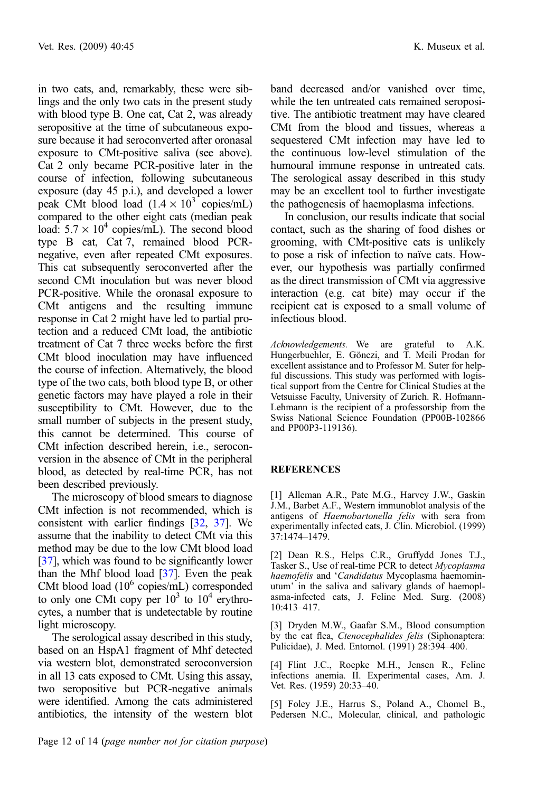<span id="page-11-0"></span>in two cats, and, remarkably, these were siblings and the only two cats in the present study with blood type B. One cat, Cat 2, was already seropositive at the time of subcutaneous exposure because it had seroconverted after oronasal exposure to CMt-positive saliva (see above). Cat 2 only became PCR-positive later in the course of infection, following subcutaneous exposure (day 45 p.i.), and developed a lower peak CMt blood load  $(1.4 \times 10^3$  copies/mL) compared to the other eight cats (median peak load:  $5.7 \times 10^4$  copies/mL). The second blood type B cat, Cat 7, remained blood PCRnegative, even after repeated CMt exposures. This cat subsequently seroconverted after the second CMt inoculation but was never blood PCR-positive. While the oronasal exposure to CMt antigens and the resulting immune response in Cat 2 might have led to partial protection and a reduced CMt load, the antibiotic treatment of Cat 7 three weeks before the first CMt blood inoculation may have influenced the course of infection. Alternatively, the blood type of the two cats, both blood type B, or other genetic factors may have played a role in their susceptibility to CMt. However, due to the small number of subjects in the present study, this cannot be determined. This course of CMt infection described herein, i.e., seroconversion in the absence of CMt in the peripheral blood, as detected by real-time PCR, has not been described previously.

The microscopy of blood smears to diagnose CMt infection is not recommended, which is consistent with earlier findings [\[32](#page-13-0), [37](#page-13-0)]. We assume that the inability to detect CMt via this method may be due to the low CMt blood load [[37](#page-13-0)], which was found to be significantly lower than the Mhf blood load  $[37]$  $[37]$  $[37]$ . Even the peak CMt blood load  $(10^6 \text{ copies/mL})$  corresponded to only one CMt copy per  $10^3$  to  $10^4$  erythrocytes, a number that is undetectable by routine light microscopy.

The serological assay described in this study, based on an HspA1 fragment of Mhf detected via western blot, demonstrated seroconversion in all 13 cats exposed to CMt. Using this assay, two seropositive but PCR-negative animals were identified. Among the cats administered antibiotics, the intensity of the western blot band decreased and/or vanished over time, while the ten untreated cats remained seropositive. The antibiotic treatment may have cleared CMt from the blood and tissues, whereas a sequestered CMt infection may have led to the continuous low-level stimulation of the humoural immune response in untreated cats. The serological assay described in this study may be an excellent tool to further investigate the pathogenesis of haemoplasma infections.

In conclusion, our results indicate that social contact, such as the sharing of food dishes or grooming, with CMt-positive cats is unlikely to pose a risk of infection to naïve cats. However, our hypothesis was partially confirmed as the direct transmission of CMt via aggressive interaction (e.g. cat bite) may occur if the recipient cat is exposed to a small volume of infectious blood.

Acknowledgements. We are grateful to A.K. Hungerbuehler, E. Gönczi, and T. Meili Prodan for excellent assistance and to Professor M. Suter for helpful discussions. This study was performed with logistical support from the Centre for Clinical Studies at the Vetsuisse Faculty, University of Zurich. R. Hofmann-Lehmann is the recipient of a professorship from the Swiss National Science Foundation (PP00B-102866 and PP00P3-119136).

# REFERENCES

[1] Alleman A.R., Pate M.G., Harvey J.W., Gaskin J.M., Barbet A.F., Western immunoblot analysis of the antigens of Haemobartonella felis with sera from experimentally infected cats, J. Clin. Microbiol. (1999) 37:1474–1479.

[2] Dean R.S., Helps C.R., Gruffydd Jones T.J., Tasker S., Use of real-time PCR to detect Mycoplasma haemofelis and 'Candidatus Mycoplasma haemominutum' in the saliva and salivary glands of haemoplasma-infected cats, J. Feline Med. Surg. (2008) 10:413–417.

[3] Dryden M.W., Gaafar S.M., Blood consumption by the cat flea, Ctenocephalides felis (Siphonaptera: Pulicidae), J. Med. Entomol. (1991) 28:394–400.

[4] Flint J.C., Roepke M.H., Jensen R., Feline infections anemia. II. Experimental cases, Am. J. Vet. Res. (1959) 20:33–40.

[5] Foley J.E., Harrus S., Poland A., Chomel B., Pedersen N.C., Molecular, clinical, and pathologic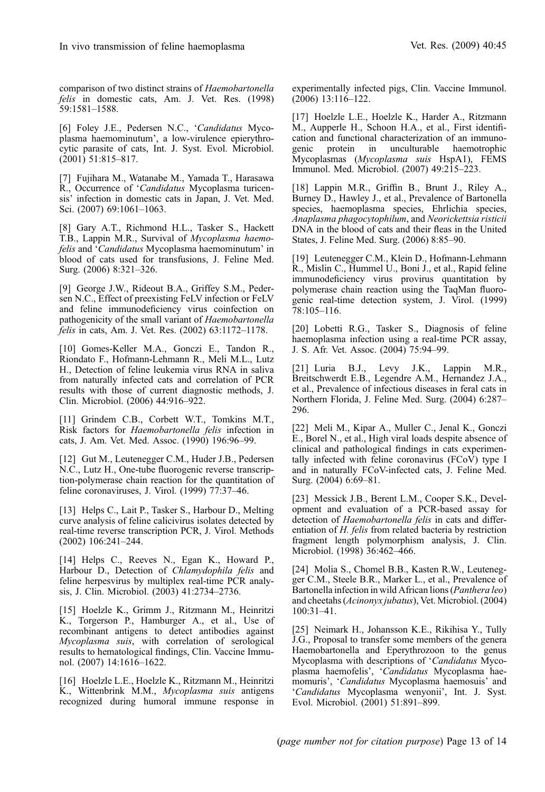<span id="page-12-0"></span>comparison of two distinct strains of Haemobartonella felis in domestic cats, Am. J. Vet. Res. (1998) 59:1581–1588.

[6] Foley J.E., Pedersen N.C., 'Candidatus Mycoplasma haemominutum', a low-virulence epierythrocytic parasite of cats, Int. J. Syst. Evol. Microbiol.  $(2001)$  51:815–817.

[7] Fujihara M., Watanabe M., Yamada T., Harasawa R., Occurrence of 'Candidatus Mycoplasma turicensis' infection in domestic cats in Japan, J. Vet. Med. Sci. (2007) 69:1061–1063.

[8] Gary A.T., Richmond H.L., Tasker S., Hackett T.B., Lappin M.R., Survival of Mycoplasma haemofelis and 'Candidatus Mycoplasma haemominutum' in blood of cats used for transfusions, J. Feline Med. Surg. (2006) 8:321–326.

[9] George J.W., Rideout B.A., Griffey S.M., Pedersen N.C., Effect of preexisting FeLV infection or FeLV and feline immunodeficiency virus coinfection on pathogenicity of the small variant of Haemobartonella felis in cats, Am. J. Vet. Res. (2002) 63:1172–1178.

[10] Gomes-Keller M.A., Gonczi E., Tandon R., Riondato F., Hofmann-Lehmann R., Meli M.L., Lutz H., Detection of feline leukemia virus RNA in saliva from naturally infected cats and correlation of PCR results with those of current diagnostic methods, J. Clin. Microbiol. (2006) 44:916–922.

[11] Grindem C.B., Corbett W.T., Tomkins M.T., Risk factors for Haemobartonella felis infection in cats, J. Am. Vet. Med. Assoc. (1990) 196:96–99.

[12] Gut M., Leutenegger C.M., Huder J.B., Pedersen N.C., Lutz H., One-tube fluorogenic reverse transcription-polymerase chain reaction for the quantitation of feline coronaviruses, J. Virol.  $(1999)$  77:37-46.

[13] Helps C., Lait P., Tasker S., Harbour D., Melting curve analysis of feline calicivirus isolates detected by real-time reverse transcription PCR, J. Virol. Methods (2002) 106:241–244.

[14] Helps C., Reeves N., Egan K., Howard P., Harbour D., Detection of Chlamydophila felis and feline herpesvirus by multiplex real-time PCR analysis, J. Clin. Microbiol. (2003) 41:2734–2736.

[15] Hoelzle K., Grimm J., Ritzmann M., Heinritzi K., Torgerson P., Hamburger A., et al., Use of recombinant antigens to detect antibodies against Mycoplasma suis, with correlation of serological results to hematological findings, Clin. Vaccine Immunol. (2007) 14:1616–1622.

[16] Hoelzle L.E., Hoelzle K., Ritzmann M., Heinritzi K., Wittenbrink M.M., Mycoplasma suis antigens recognized during humoral immune response in experimentally infected pigs, Clin. Vaccine Immunol.  $(2006)$  13:116–122.

[17] Hoelzle L.E., Hoelzle K., Harder A., Ritzmann M., Aupperle H., Schoon H.A., et al., First identification and functional characterization of an immuno-<br>genic protein in unculturable haemotrophic protein in unculturable haemotrophic Mycoplasmas (Mycoplasma suis HspA1), FEMS Immunol. Med. Microbiol. (2007) 49:215–223.

[18] Lappin M.R., Griffin B., Brunt J., Riley A., Burney D., Hawley J., et al., Prevalence of Bartonella species, haemoplasma species, Ehrlichia species, Anaplasma phagocytophilum, and Neorickettsia risticii DNA in the blood of cats and their fleas in the United States, J. Feline Med. Surg. (2006) 8:85–90.

[19] Leutenegger C.M., Klein D., Hofmann-Lehmann R., Mislin C., Hummel U., Boni J., et al., Rapid feline immunodeficiency virus provirus quantitation by polymerase chain reaction using the TaqMan fluorogenic real-time detection system, J. Virol. (1999)  $78:105 - 116$ .

[20] Lobetti R.G., Tasker S., Diagnosis of feline haemoplasma infection using a real-time PCR assay, J. S. Afr. Vet. Assoc. (2004) 75:94–99.

[21] Luria B.J., Levy J.K., Lappin M.R., Breitschwerdt E.B., Legendre A.M., Hernandez J.A., et al., Prevalence of infectious diseases in feral cats in Northern Florida, J. Feline Med. Surg. (2004) 6:287– 296.

[22] Meli M., Kipar A., Muller C., Jenal K., Gonczi E., Borel N., et al., High viral loads despite absence of clinical and pathological findings in cats experimentally infected with feline coronavirus (FCoV) type I and in naturally FCoV-infected cats, J. Feline Med. Surg. (2004) 6:69–81.

[23] Messick J.B., Berent L.M., Cooper S.K., Development and evaluation of a PCR-based assay for detection of Haemobartonella felis in cats and differentiation of H. felis from related bacteria by restriction fragment length polymorphism analysis, J. Clin. Microbiol. (1998) 36:462–466.

[24] Molia S., Chomel B.B., Kasten R.W., Leutenegger C.M., Steele B.R., Marker L., et al., Prevalence of Bartonella infection in wild African lions (Panthera leo) and cheetahs (Acinonyx jubatus), Vet. Microbiol. (2004) 100:31–41.

[25] Neimark H., Johansson K.E., Rikihisa Y., Tully J.G., Proposal to transfer some members of the genera Haemobartonella and Eperythrozoon to the genus Mycoplasma with descriptions of 'Candidatus Mycoplasma haemofelis', 'Candidatus Mycoplasma haemomuris', 'Candidatus Mycoplasma haemosuis' and 'Candidatus Mycoplasma wenyonii', Int. J. Syst. Evol. Microbiol. (2001) 51:891–899.